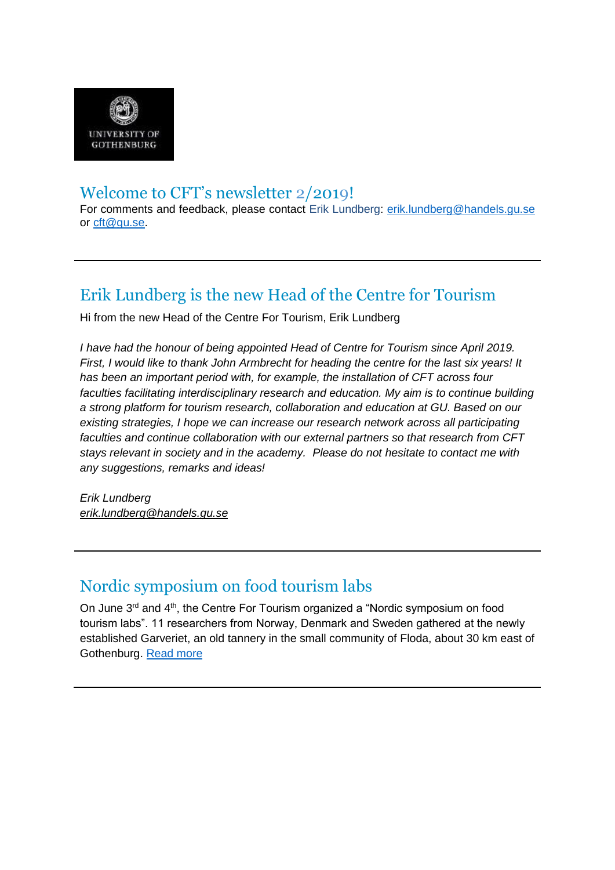

#### Welcome to CFT's newsletter 2/2019!

For comments and feedback, please contact Erik Lundberg: [erik.lundberg@handels.gu.se](mailto:erik.lundberg@handels.gu.se) or [cft@gu.se.](mailto:cft@gu.se)

# Erik Lundberg is the new Head of the Centre for Tourism

Hi from the new Head of the Centre For Tourism, Erik Lundberg

*I have had the honour of being appointed Head of Centre for Tourism since April 2019. First, I would like to thank John Armbrecht for heading the centre for the last six years! It has been an important period with, for example, the installation of CFT across four faculties facilitating interdisciplinary research and education. My aim is to continue building a strong platform for tourism research, collaboration and education at GU. Based on our existing strategies, I hope we can increase our research network across all participating faculties and continue collaboration with our external partners so that research from CFT stays relevant in society and in the academy. Please do not hesitate to contact me with any suggestions, remarks and ideas!*

*Erik Lundberg [erik.lundberg@handels.gu.se](mailto:erik.lundberg@handels.gu.se)*

# Nordic symposium on food tourism labs

On June 3rd and 4th, the Centre For Tourism organized a "Nordic symposium on food tourism labs". 11 researchers from Norway, Denmark and Sweden gathered at the newly established Garveriet, an old tannery in the small community of Floda, about 30 km east of Gothenburg. [Read more](https://cft.handels.gu.se/english/news-and-events/news/d/nordic-symposium-on-food-tourism-labs.cid1632055)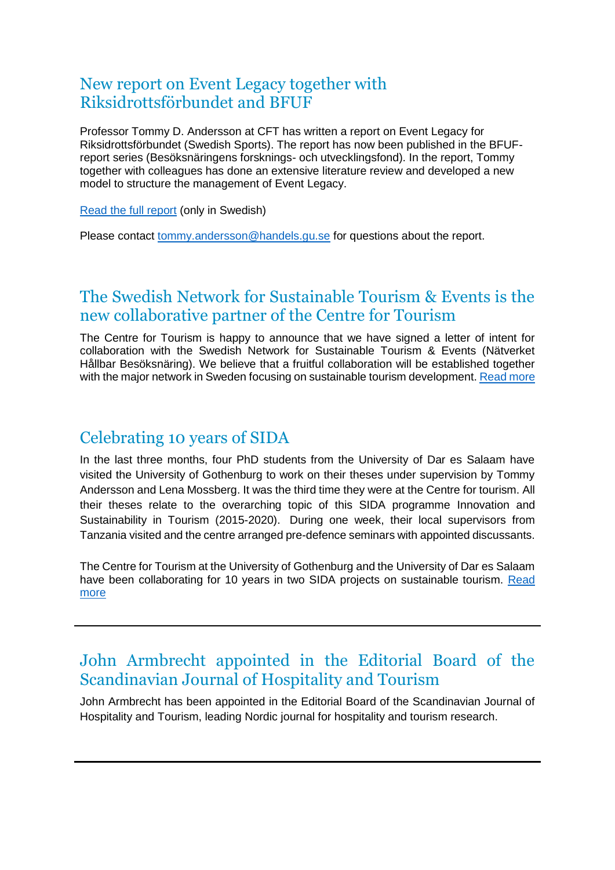#### New report on Event Legacy together with Riksidrottsförbundet and BFUF

Professor Tommy D. Andersson at CFT has written a report on Event Legacy for Riksidrottsförbundet (Swedish Sports). The report has now been published in the BFUFreport series (Besöksnäringens forsknings- och utvecklingsfond). In the report, Tommy together with colleagues has done an extensive literature review and developed a new model to structure the management of Event Legacy.

[Read the full report](https://bfuf.se/wp-content/uploads/2019/06/Rapport_12_web_04.pdf) (only in Swedish)

Please contact [tommy.andersson@handels.gu.se](mailto:tommy.andersson@handels.gu.se) for questions about the report.

#### The Swedish Network for Sustainable Tourism & Events is the new collaborative partner of the Centre for Tourism

The Centre for Tourism is happy to announce that we have signed a letter of intent for collaboration with the Swedish Network for Sustainable Tourism & Events (Nätverket Hållbar Besöksnäring). We believe that a fruitful collaboration will be established together with the major network in Sweden focusing on sustainable tourism development. [Read more](https://cft.handels.gu.se/english/news-and-events/news/d/the-swedish-network-for-sustainable-tourism---events-is-the-new-collaborative-partner-of-the-centre-for-tourism.cid1632732)

#### Celebrating 10 years of SIDA

In the last three months, four PhD students from the University of Dar es Salaam have visited the University of Gothenburg to work on their theses under supervision by Tommy Andersson and Lena Mossberg. It was the third time they were at the Centre for tourism. All their theses relate to the overarching topic of this SIDA programme Innovation and Sustainability in Tourism (2015-2020). During one week, their local supervisors from Tanzania visited and the centre arranged pre-defence seminars with appointed discussants.

The Centre for Tourism at the University of Gothenburg and the University of Dar es Salaam have been collaborating for 10 years in two SIDA projects on sustainable tourism. Read [more](https://cft.handels.gu.se/english/news-and-events/news/d/sida---10-year-celebration.cid1631876)

# John Armbrecht appointed in the Editorial Board of the Scandinavian Journal of Hospitality and Tourism

John Armbrecht has been appointed in the Editorial Board of the Scandinavian Journal of Hospitality and Tourism, leading Nordic journal for hospitality and tourism research.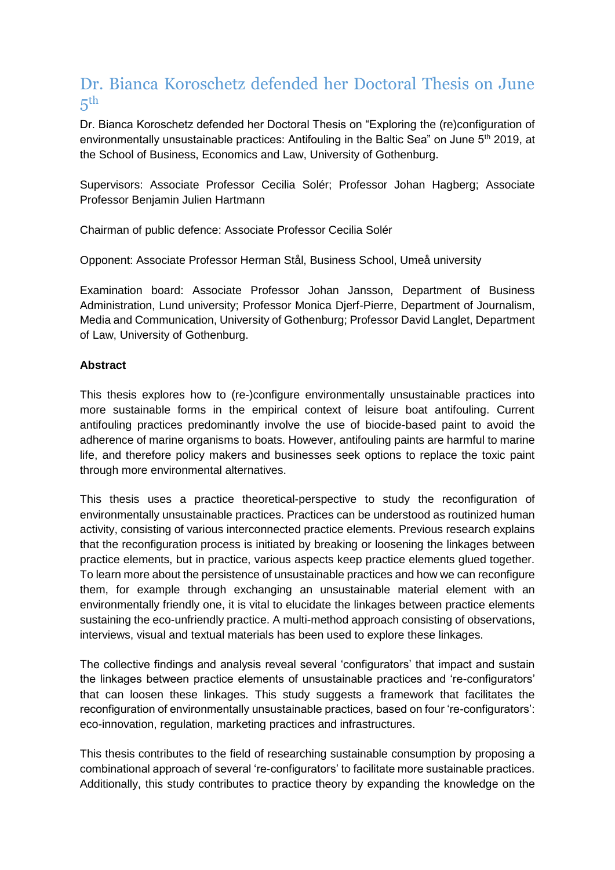#### Dr. Bianca Koroschetz defended her Doctoral Thesis on June  $5<sup>th</sup>$

Dr. Bianca Koroschetz defended her Doctoral Thesis on "Exploring the (re)configuration of environmentally unsustainable practices: Antifouling in the Baltic Sea" on June 5<sup>th</sup> 2019, at the School of Business, Economics and Law, University of Gothenburg.

Supervisors: Associate Professor Cecilia Solér; Professor Johan Hagberg; Associate Professor Benjamin Julien Hartmann

Chairman of public defence: Associate Professor Cecilia Solér

Opponent: Associate Professor Herman Stål, Business School, Umeå university

Examination board: Associate Professor Johan Jansson, Department of Business Administration, Lund university; Professor Monica Djerf-Pierre, Department of Journalism, Media and Communication, University of Gothenburg; Professor David Langlet, Department of Law, University of Gothenburg.

#### **Abstract**

This thesis explores how to (re-)configure environmentally unsustainable practices into more sustainable forms in the empirical context of leisure boat antifouling. Current antifouling practices predominantly involve the use of biocide-based paint to avoid the adherence of marine organisms to boats. However, antifouling paints are harmful to marine life, and therefore policy makers and businesses seek options to replace the toxic paint through more environmental alternatives.

This thesis uses a practice theoretical-perspective to study the reconfiguration of environmentally unsustainable practices. Practices can be understood as routinized human activity, consisting of various interconnected practice elements. Previous research explains that the reconfiguration process is initiated by breaking or loosening the linkages between practice elements, but in practice, various aspects keep practice elements glued together. To learn more about the persistence of unsustainable practices and how we can reconfigure them, for example through exchanging an unsustainable material element with an environmentally friendly one, it is vital to elucidate the linkages between practice elements sustaining the eco-unfriendly practice. A multi-method approach consisting of observations, interviews, visual and textual materials has been used to explore these linkages.

The collective findings and analysis reveal several 'configurators' that impact and sustain the linkages between practice elements of unsustainable practices and 're-configurators' that can loosen these linkages. This study suggests a framework that facilitates the reconfiguration of environmentally unsustainable practices, based on four 're-configurators': eco-innovation, regulation, marketing practices and infrastructures.

This thesis contributes to the field of researching sustainable consumption by proposing a combinational approach of several 're-configurators' to facilitate more sustainable practices. Additionally, this study contributes to practice theory by expanding the knowledge on the